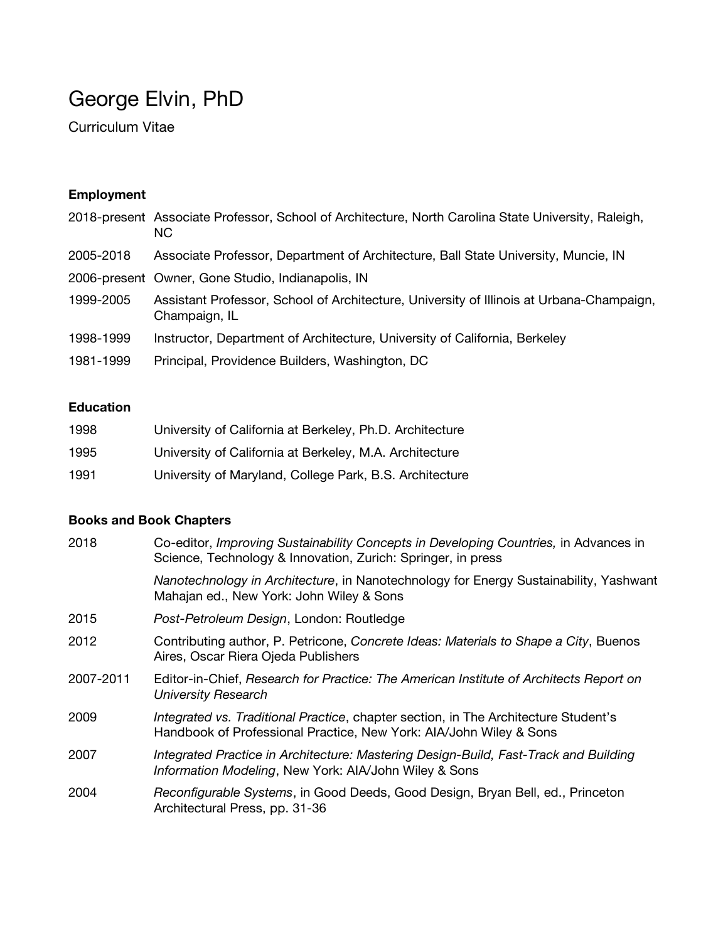# George Elvin, PhD

Curriculum Vitae

# **Employment**

|           | 2018-present Associate Professor, School of Architecture, North Carolina State University, Raleigh,<br>NC. |
|-----------|------------------------------------------------------------------------------------------------------------|
| 2005-2018 | Associate Professor, Department of Architecture, Ball State University, Muncie, IN                         |
|           | 2006-present Owner, Gone Studio, Indianapolis, IN                                                          |
| 1999-2005 | Assistant Professor, School of Architecture, University of Illinois at Urbana-Champaign,<br>Champaign, IL  |
| 1998-1999 | Instructor, Department of Architecture, University of California, Berkeley                                 |
| 1981-1999 | Principal, Providence Builders, Washington, DC                                                             |

# **Education**

| 1998 | University of California at Berkeley, Ph.D. Architecture |
|------|----------------------------------------------------------|
| 1995 | University of California at Berkeley, M.A. Architecture  |
| 1991 | University of Maryland, College Park, B.S. Architecture  |

# **Books and Book Chapters**

| 2018      | Co-editor, Improving Sustainability Concepts in Developing Countries, in Advances in<br>Science, Technology & Innovation, Zurich: Springer, in press      |
|-----------|-----------------------------------------------------------------------------------------------------------------------------------------------------------|
|           | Nanotechnology in Architecture, in Nanotechnology for Energy Sustainability, Yashwant<br>Mahajan ed., New York: John Wiley & Sons                         |
| 2015      | Post-Petroleum Design, London: Routledge                                                                                                                  |
| 2012      | Contributing author, P. Petricone, Concrete Ideas: Materials to Shape a City, Buenos<br>Aires, Oscar Riera Ojeda Publishers                               |
| 2007-2011 | Editor-in-Chief, Research for Practice: The American Institute of Architects Report on<br><b>University Research</b>                                      |
| 2009      | Integrated vs. Traditional Practice, chapter section, in The Architecture Student's<br>Handbook of Professional Practice, New York: AIA/John Wiley & Sons |
| 2007      | Integrated Practice in Architecture: Mastering Design-Build, Fast-Track and Building<br>Information Modeling, New York: AIA/John Wiley & Sons             |
| 2004      | Reconfigurable Systems, in Good Deeds, Good Design, Bryan Bell, ed., Princeton<br>Architectural Press, pp. 31-36                                          |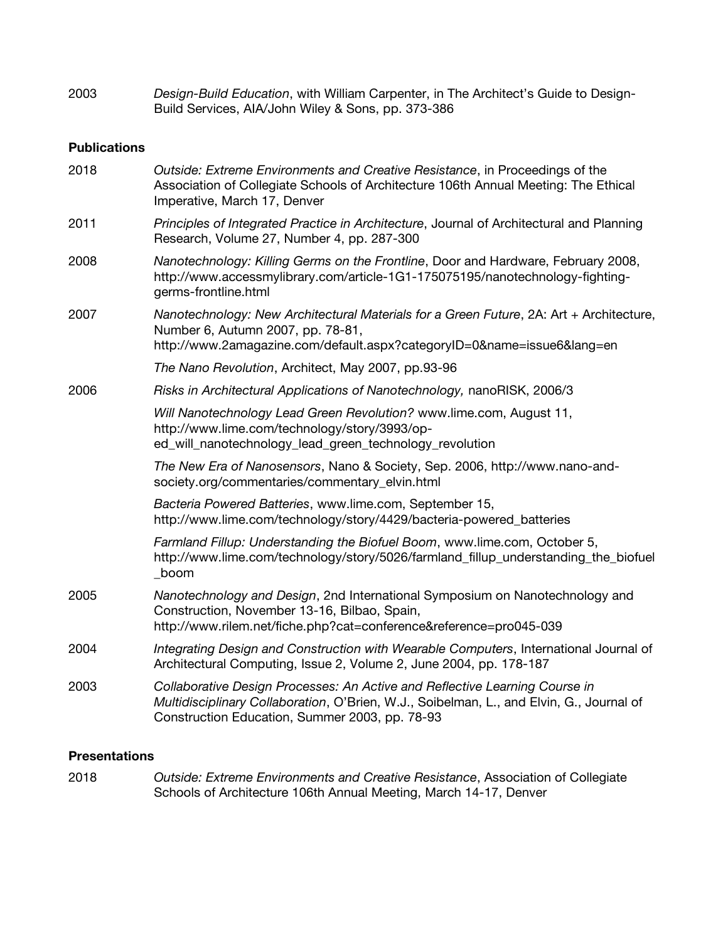| 2003 | Design-Build Education, with William Carpenter, in The Architect's Guide to Design- |
|------|-------------------------------------------------------------------------------------|
|      | Build Services, AIA/John Wiley & Sons, pp. 373-386                                  |

### **Publications**

| 2018 | Outside: Extreme Environments and Creative Resistance, in Proceedings of the<br>Association of Collegiate Schools of Architecture 106th Annual Meeting: The Ethical<br>Imperative, March 17, Denver                       |
|------|---------------------------------------------------------------------------------------------------------------------------------------------------------------------------------------------------------------------------|
| 2011 | Principles of Integrated Practice in Architecture, Journal of Architectural and Planning<br>Research, Volume 27, Number 4, pp. 287-300                                                                                    |
| 2008 | Nanotechnology: Killing Germs on the Frontline, Door and Hardware, February 2008,<br>http://www.accessmylibrary.com/article-1G1-175075195/nanotechnology-fighting-<br>germs-frontline.html                                |
| 2007 | Nanotechnology: New Architectural Materials for a Green Future, 2A: Art + Architecture,<br>Number 6, Autumn 2007, pp. 78-81,<br>http://www.2amagazine.com/default.aspx?categoryID=0&name=issue6⟨=en                       |
|      | The Nano Revolution, Architect, May 2007, pp.93-96                                                                                                                                                                        |
| 2006 | Risks in Architectural Applications of Nanotechnology, nanoRISK, 2006/3                                                                                                                                                   |
|      | Will Nanotechnology Lead Green Revolution? www.lime.com, August 11,<br>http://www.lime.com/technology/story/3993/op-<br>ed_will_nanotechnology_lead_green_technology_revolution                                           |
|      | The New Era of Nanosensors, Nano & Society, Sep. 2006, http://www.nano-and-<br>society.org/commentaries/commentary_elvin.html                                                                                             |
|      | Bacteria Powered Batteries, www.lime.com, September 15,<br>http://www.lime.com/technology/story/4429/bacteria-powered_batteries                                                                                           |
|      | Farmland Fillup: Understanding the Biofuel Boom, www.lime.com, October 5,<br>http://www.lime.com/technology/story/5026/farmland_fillup_understanding_the_biofuel<br>_boom                                                 |
| 2005 | Nanotechnology and Design, 2nd International Symposium on Nanotechnology and<br>Construction, November 13-16, Bilbao, Spain,<br>http://www.rilem.net/fiche.php?cat=conference&reference=pro045-039                        |
| 2004 | Integrating Design and Construction with Wearable Computers, International Journal of<br>Architectural Computing, Issue 2, Volume 2, June 2004, pp. 178-187                                                               |
| 2003 | Collaborative Design Processes: An Active and Reflective Learning Course in<br>Multidisciplinary Collaboration, O'Brien, W.J., Soibelman, L., and Elvin, G., Journal of<br>Construction Education, Summer 2003, pp. 78-93 |

## **Presentations**

2018 *Outside: Extreme Environments and Creative Resistance*, Association of Collegiate Schools of Architecture 106th Annual Meeting, March 14-17, Denver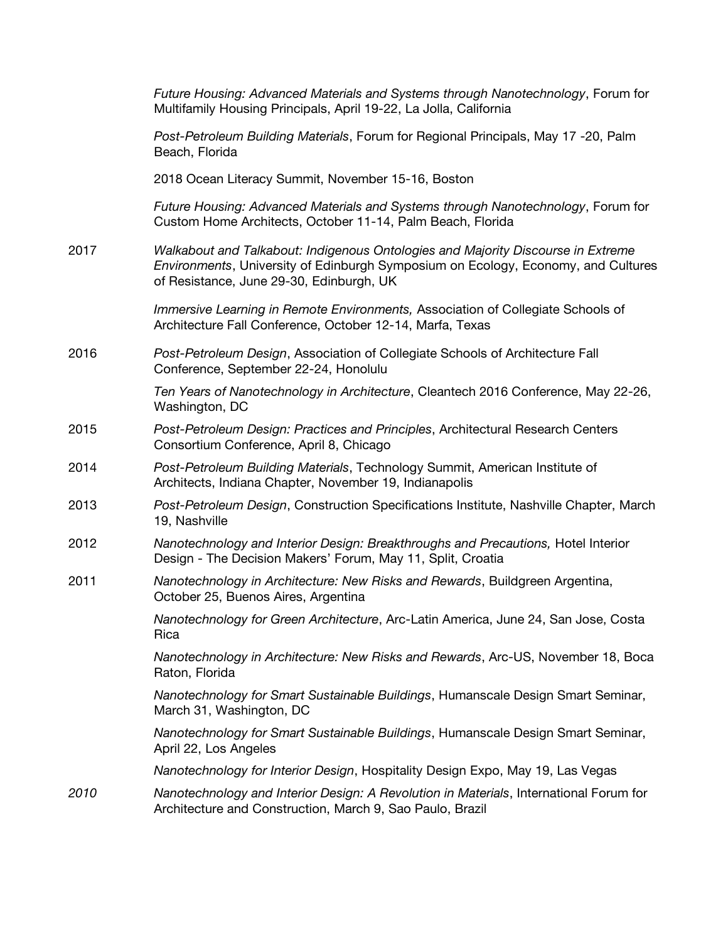|      | Future Housing: Advanced Materials and Systems through Nanotechnology, Forum for<br>Multifamily Housing Principals, April 19-22, La Jolla, California                                                             |
|------|-------------------------------------------------------------------------------------------------------------------------------------------------------------------------------------------------------------------|
|      | Post-Petroleum Building Materials, Forum for Regional Principals, May 17 -20, Palm<br>Beach, Florida                                                                                                              |
|      | 2018 Ocean Literacy Summit, November 15-16, Boston                                                                                                                                                                |
|      | Future Housing: Advanced Materials and Systems through Nanotechnology, Forum for<br>Custom Home Architects, October 11-14, Palm Beach, Florida                                                                    |
| 2017 | Walkabout and Talkabout: Indigenous Ontologies and Majority Discourse in Extreme<br>Environments, University of Edinburgh Symposium on Ecology, Economy, and Cultures<br>of Resistance, June 29-30, Edinburgh, UK |
|      | Immersive Learning in Remote Environments, Association of Collegiate Schools of<br>Architecture Fall Conference, October 12-14, Marfa, Texas                                                                      |
| 2016 | Post-Petroleum Design, Association of Collegiate Schools of Architecture Fall<br>Conference, September 22-24, Honolulu                                                                                            |
|      | Ten Years of Nanotechnology in Architecture, Cleantech 2016 Conference, May 22-26,<br>Washington, DC                                                                                                              |
| 2015 | Post-Petroleum Design: Practices and Principles, Architectural Research Centers<br>Consortium Conference, April 8, Chicago                                                                                        |
| 2014 | Post-Petroleum Building Materials, Technology Summit, American Institute of<br>Architects, Indiana Chapter, November 19, Indianapolis                                                                             |
| 2013 | Post-Petroleum Design, Construction Specifications Institute, Nashville Chapter, March<br>19, Nashville                                                                                                           |
| 2012 | Nanotechnology and Interior Design: Breakthroughs and Precautions, Hotel Interior<br>Design - The Decision Makers' Forum, May 11, Split, Croatia                                                                  |
| 2011 | Nanotechnology in Architecture: New Risks and Rewards, Buildgreen Argentina,<br>October 25, Buenos Aires, Argentina                                                                                               |
|      | Nanotechnology for Green Architecture, Arc-Latin America, June 24, San Jose, Costa<br>Rica                                                                                                                        |
|      | Nanotechnology in Architecture: New Risks and Rewards, Arc-US, November 18, Boca<br>Raton, Florida                                                                                                                |
|      | Nanotechnology for Smart Sustainable Buildings, Humanscale Design Smart Seminar,<br>March 31, Washington, DC                                                                                                      |
|      | Nanotechnology for Smart Sustainable Buildings, Humanscale Design Smart Seminar,<br>April 22, Los Angeles                                                                                                         |
|      | Nanotechnology for Interior Design, Hospitality Design Expo, May 19, Las Vegas                                                                                                                                    |
| 2010 | Nanotechnology and Interior Design: A Revolution in Materials, International Forum for<br>Architecture and Construction, March 9, Sao Paulo, Brazil                                                               |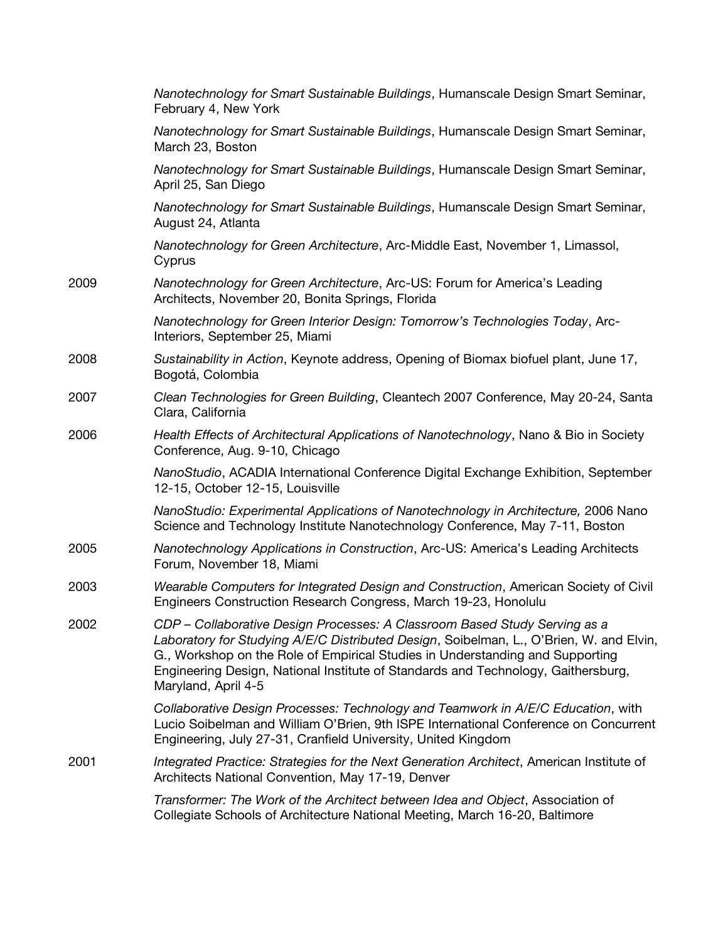|      | Nanotechnology for Smart Sustainable Buildings, Humanscale Design Smart Seminar,<br>February 4, New York                                                                                                                                                                                                                                                           |
|------|--------------------------------------------------------------------------------------------------------------------------------------------------------------------------------------------------------------------------------------------------------------------------------------------------------------------------------------------------------------------|
|      | Nanotechnology for Smart Sustainable Buildings, Humanscale Design Smart Seminar,<br>March 23, Boston                                                                                                                                                                                                                                                               |
|      | Nanotechnology for Smart Sustainable Buildings, Humanscale Design Smart Seminar,<br>April 25, San Diego                                                                                                                                                                                                                                                            |
|      | Nanotechnology for Smart Sustainable Buildings, Humanscale Design Smart Seminar,<br>August 24, Atlanta                                                                                                                                                                                                                                                             |
|      | Nanotechnology for Green Architecture, Arc-Middle East, November 1, Limassol,<br>Cyprus                                                                                                                                                                                                                                                                            |
| 2009 | Nanotechnology for Green Architecture, Arc-US: Forum for America's Leading<br>Architects, November 20, Bonita Springs, Florida                                                                                                                                                                                                                                     |
|      | Nanotechnology for Green Interior Design: Tomorrow's Technologies Today, Arc-<br>Interiors, September 25, Miami                                                                                                                                                                                                                                                    |
| 2008 | Sustainability in Action, Keynote address, Opening of Biomax biofuel plant, June 17,<br>Bogotá, Colombia                                                                                                                                                                                                                                                           |
| 2007 | Clean Technologies for Green Building, Cleantech 2007 Conference, May 20-24, Santa<br>Clara, California                                                                                                                                                                                                                                                            |
| 2006 | Health Effects of Architectural Applications of Nanotechnology, Nano & Bio in Society<br>Conference, Aug. 9-10, Chicago                                                                                                                                                                                                                                            |
|      | NanoStudio, ACADIA International Conference Digital Exchange Exhibition, September<br>12-15, October 12-15, Louisville                                                                                                                                                                                                                                             |
|      | NanoStudio: Experimental Applications of Nanotechnology in Architecture, 2006 Nano<br>Science and Technology Institute Nanotechnology Conference, May 7-11, Boston                                                                                                                                                                                                 |
| 2005 | Nanotechnology Applications in Construction, Arc-US: America's Leading Architects<br>Forum, November 18, Miami                                                                                                                                                                                                                                                     |
| 2003 | Wearable Computers for Integrated Design and Construction, American Society of Civil<br>Engineers Construction Research Congress, March 19-23, Honolulu                                                                                                                                                                                                            |
| 2002 | CDP - Collaborative Design Processes: A Classroom Based Study Serving as a<br>Laboratory for Studying A/E/C Distributed Design, Soibelman, L., O'Brien, W. and Elvin,<br>G., Workshop on the Role of Empirical Studies in Understanding and Supporting<br>Engineering Design, National Institute of Standards and Technology, Gaithersburg,<br>Maryland, April 4-5 |
|      | Collaborative Design Processes: Technology and Teamwork in A/E/C Education, with<br>Lucio Soibelman and William O'Brien, 9th ISPE International Conference on Concurrent<br>Engineering, July 27-31, Cranfield University, United Kingdom                                                                                                                          |
| 2001 | Integrated Practice: Strategies for the Next Generation Architect, American Institute of<br>Architects National Convention, May 17-19, Denver                                                                                                                                                                                                                      |
|      | Transformer: The Work of the Architect between Idea and Object, Association of<br>Collegiate Schools of Architecture National Meeting, March 16-20, Baltimore                                                                                                                                                                                                      |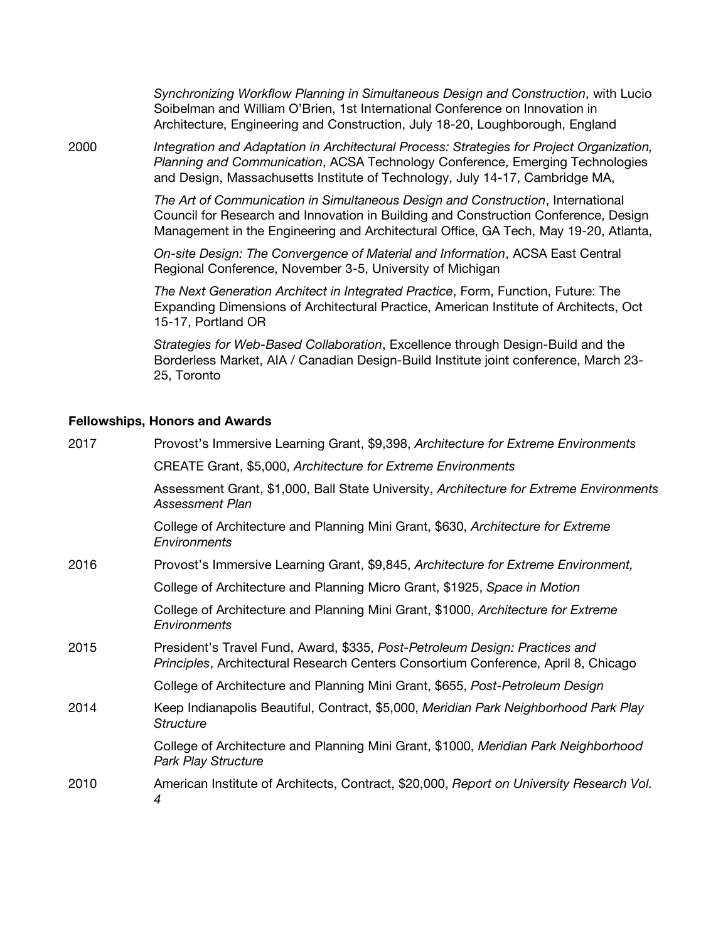*Synchronizing Workflow Planning in Simultaneous Design and Construction*, with Lucio Soibelman and William O'Brien, 1st International Conference on Innovation in Architecture, Engineering and Construction, July 18-20, Loughborough, England

2000 *Integration and Adaptation in Architectural Process: Strategies for Project Organization, Planning and Communication*, ACSA Technology Conference, Emerging Technologies and Design, Massachusetts Institute of Technology, July 14-17, Cambridge MA,

> *The Art of Communication in Simultaneous Design and Construction*, International Council for Research and Innovation in Building and Construction Conference, Design Management in the Engineering and Architectural Office, GA Tech, May 19-20, Atlanta,

*On-site Design: The Convergence of Material and Information*, ACSA East Central Regional Conference, November 3-5, University of Michigan

*The Next Generation Architect in Integrated Practice*, Form, Function, Future: The Expanding Dimensions of Architectural Practice, American Institute of Architects, Oct 15-17, Portland OR

*Strategies for Web-Based Collaboration*, Excellence through Design-Build and the Borderless Market, AIA / Canadian Design-Build Institute joint conference, March 23- 25, Toronto

#### **Fellowships, Honors and Awards**

| 2017 | Provost's Immersive Learning Grant, \$9,398, Architecture for Extreme Environments                                                                                |
|------|-------------------------------------------------------------------------------------------------------------------------------------------------------------------|
|      | CREATE Grant, \$5,000, Architecture for Extreme Environments                                                                                                      |
|      | Assessment Grant, \$1,000, Ball State University, Architecture for Extreme Environments<br>Assessment Plan                                                        |
|      | College of Architecture and Planning Mini Grant, \$630, Architecture for Extreme<br>Environments                                                                  |
| 2016 | Provost's Immersive Learning Grant, \$9,845, Architecture for Extreme Environment,                                                                                |
|      | College of Architecture and Planning Micro Grant, \$1925, Space in Motion                                                                                         |
|      | College of Architecture and Planning Mini Grant, \$1000, Architecture for Extreme<br>Environments                                                                 |
| 2015 | President's Travel Fund, Award, \$335, Post-Petroleum Design: Practices and<br>Principles, Architectural Research Centers Consortium Conference, April 8, Chicago |
|      | College of Architecture and Planning Mini Grant, \$655, Post-Petroleum Design                                                                                     |
| 2014 | Keep Indianapolis Beautiful, Contract, \$5,000, Meridian Park Neighborhood Park Play<br>Structure                                                                 |
|      | College of Architecture and Planning Mini Grant, \$1000, Meridian Park Neighborhood<br><b>Park Play Structure</b>                                                 |
| 2010 | American Institute of Architects, Contract, \$20,000, Report on University Research Vol.<br>4                                                                     |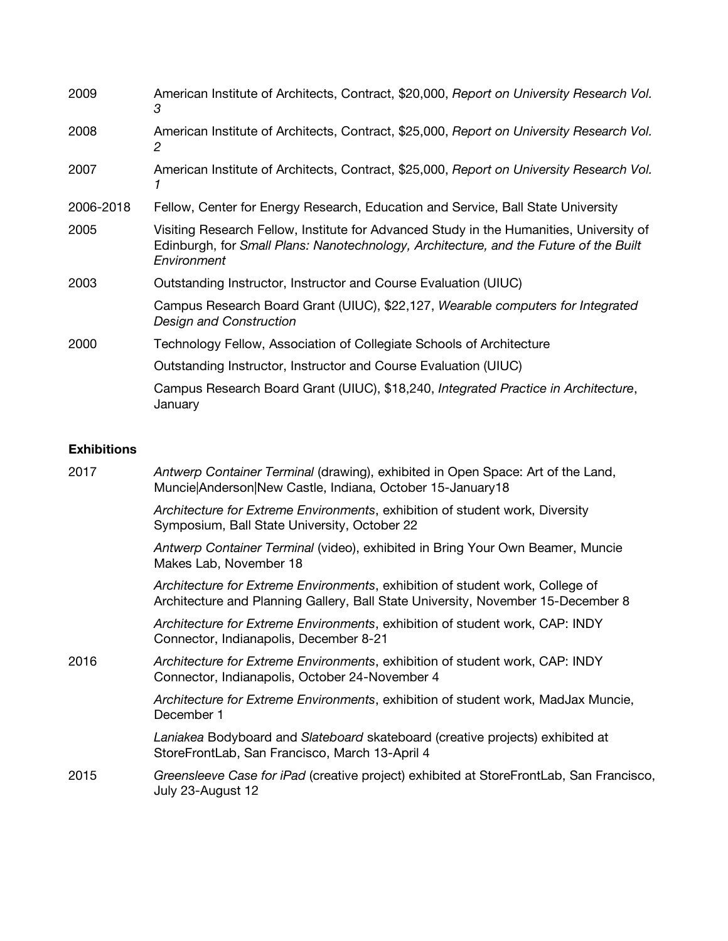| 2009      | American Institute of Architects, Contract, \$20,000, Report on University Research Vol.<br>3                                                                                                   |
|-----------|-------------------------------------------------------------------------------------------------------------------------------------------------------------------------------------------------|
| 2008      | American Institute of Architects, Contract, \$25,000, Report on University Research Vol.<br>2                                                                                                   |
| 2007      | American Institute of Architects, Contract, \$25,000, Report on University Research Vol.                                                                                                        |
| 2006-2018 | Fellow, Center for Energy Research, Education and Service, Ball State University                                                                                                                |
| 2005      | Visiting Research Fellow, Institute for Advanced Study in the Humanities, University of<br>Edinburgh, for Small Plans: Nanotechnology, Architecture, and the Future of the Built<br>Environment |
| 2003      | Outstanding Instructor, Instructor and Course Evaluation (UIUC)                                                                                                                                 |
|           | Campus Research Board Grant (UIUC), \$22,127, Wearable computers for Integrated<br>Design and Construction                                                                                      |
| 2000      | Technology Fellow, Association of Collegiate Schools of Architecture                                                                                                                            |
|           | Outstanding Instructor, Instructor and Course Evaluation (UIUC)                                                                                                                                 |
|           | Campus Research Board Grant (UIUC), \$18,240, Integrated Practice in Architecture,<br>January                                                                                                   |

## **Exhibitions**

| 2017 | Antwerp Container Terminal (drawing), exhibited in Open Space: Art of the Land,<br>Muncie Anderson New Castle, Indiana, October 15-January18                      |
|------|-------------------------------------------------------------------------------------------------------------------------------------------------------------------|
|      | Architecture for Extreme Environments, exhibition of student work, Diversity<br>Symposium, Ball State University, October 22                                      |
|      | Antwerp Container Terminal (video), exhibited in Bring Your Own Beamer, Muncie<br>Makes Lab, November 18                                                          |
|      | Architecture for Extreme Environments, exhibition of student work, College of<br>Architecture and Planning Gallery, Ball State University, November 15-December 8 |
|      | Architecture for Extreme Environments, exhibition of student work, CAP: INDY<br>Connector, Indianapolis, December 8-21                                            |
| 2016 | Architecture for Extreme Environments, exhibition of student work, CAP: INDY<br>Connector, Indianapolis, October 24-November 4                                    |
|      | Architecture for Extreme Environments, exhibition of student work, MadJax Muncie,<br>December 1                                                                   |
|      | Laniakea Bodyboard and Slateboard skateboard (creative projects) exhibited at<br>StoreFrontLab, San Francisco, March 13-April 4                                   |
| 2015 | Greensleeve Case for iPad (creative project) exhibited at StoreFrontLab, San Francisco,<br>July 23-August 12                                                      |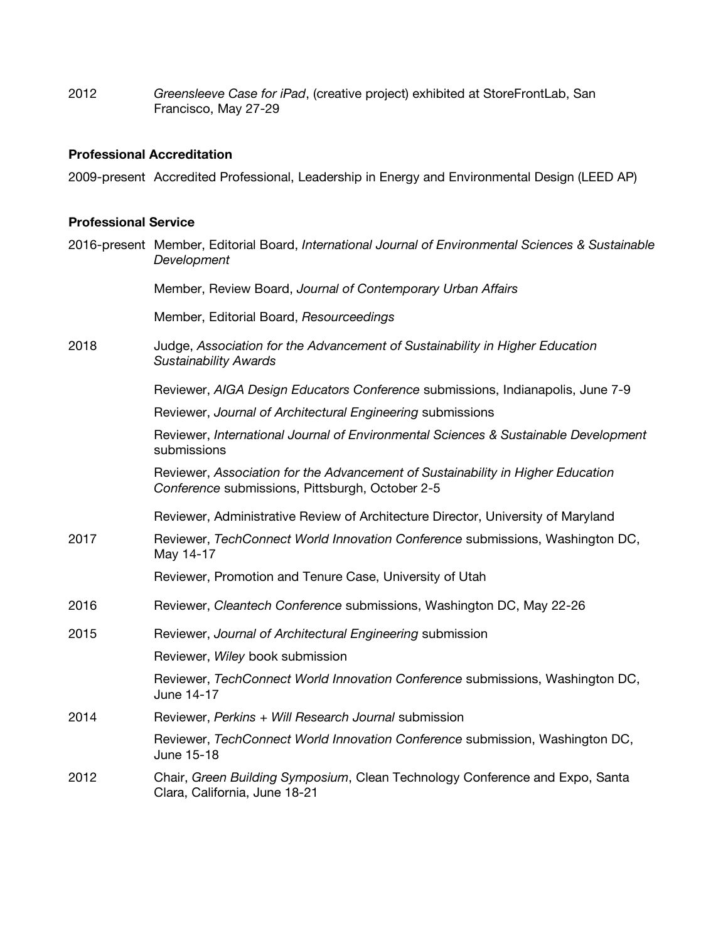2012 *Greensleeve Case for iPad*, (creative project) exhibited at StoreFrontLab, San Francisco, May 27-29

## **Professional Accreditation**

2009-present Accredited Professional, Leadership in Energy and Environmental Design (LEED AP)

#### **Professional Service**

|      | 2016-present Member, Editorial Board, International Journal of Environmental Sciences & Sustainable<br>Development                 |
|------|------------------------------------------------------------------------------------------------------------------------------------|
|      | Member, Review Board, Journal of Contemporary Urban Affairs                                                                        |
|      | Member, Editorial Board, Resourceedings                                                                                            |
| 2018 | Judge, Association for the Advancement of Sustainability in Higher Education<br><b>Sustainability Awards</b>                       |
|      | Reviewer, AIGA Design Educators Conference submissions, Indianapolis, June 7-9                                                     |
|      | Reviewer, Journal of Architectural Engineering submissions                                                                         |
|      | Reviewer, International Journal of Environmental Sciences & Sustainable Development<br>submissions                                 |
|      | Reviewer, Association for the Advancement of Sustainability in Higher Education<br>Conference submissions, Pittsburgh, October 2-5 |
|      | Reviewer, Administrative Review of Architecture Director, University of Maryland                                                   |
| 2017 | Reviewer, TechConnect World Innovation Conference submissions, Washington DC,<br>May 14-17                                         |
|      | Reviewer, Promotion and Tenure Case, University of Utah                                                                            |
| 2016 | Reviewer, Cleantech Conference submissions, Washington DC, May 22-26                                                               |
| 2015 | Reviewer, Journal of Architectural Engineering submission                                                                          |
|      | Reviewer, Wiley book submission                                                                                                    |
|      | Reviewer, TechConnect World Innovation Conference submissions, Washington DC,<br>June 14-17                                        |
| 2014 | Reviewer, Perkins + Will Research Journal submission                                                                               |
|      | Reviewer, TechConnect World Innovation Conference submission, Washington DC,<br>June 15-18                                         |
| 2012 | Chair, Green Building Symposium, Clean Technology Conference and Expo, Santa<br>Clara, California, June 18-21                      |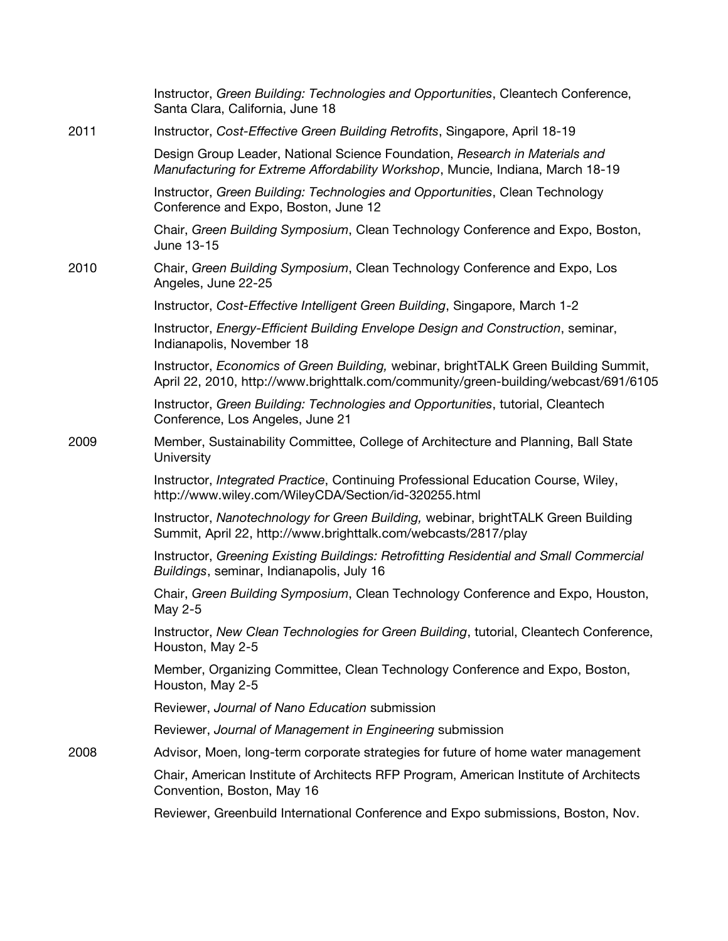|      | Instructor, Green Building: Technologies and Opportunities, Cleantech Conference,<br>Santa Clara, California, June 18                                                      |
|------|----------------------------------------------------------------------------------------------------------------------------------------------------------------------------|
| 2011 | Instructor, Cost-Effective Green Building Retrofits, Singapore, April 18-19                                                                                                |
|      | Design Group Leader, National Science Foundation, Research in Materials and<br>Manufacturing for Extreme Affordability Workshop, Muncie, Indiana, March 18-19              |
|      | Instructor, Green Building: Technologies and Opportunities, Clean Technology<br>Conference and Expo, Boston, June 12                                                       |
|      | Chair, Green Building Symposium, Clean Technology Conference and Expo, Boston,<br>June 13-15                                                                               |
| 2010 | Chair, Green Building Symposium, Clean Technology Conference and Expo, Los<br>Angeles, June 22-25                                                                          |
|      | Instructor, Cost-Effective Intelligent Green Building, Singapore, March 1-2                                                                                                |
|      | Instructor, Energy-Efficient Building Envelope Design and Construction, seminar,<br>Indianapolis, November 18                                                              |
|      | Instructor, Economics of Green Building, webinar, brightTALK Green Building Summit,<br>April 22, 2010, http://www.brighttalk.com/community/green-building/webcast/691/6105 |
|      | Instructor, Green Building: Technologies and Opportunities, tutorial, Cleantech<br>Conference, Los Angeles, June 21                                                        |
| 2009 | Member, Sustainability Committee, College of Architecture and Planning, Ball State<br>University                                                                           |
|      | Instructor, Integrated Practice, Continuing Professional Education Course, Wiley,<br>http://www.wiley.com/WileyCDA/Section/id-320255.html                                  |
|      | Instructor, Nanotechnology for Green Building, webinar, brightTALK Green Building<br>Summit, April 22, http://www.brighttalk.com/webcasts/2817/play                        |
|      | Instructor, Greening Existing Buildings: Retrofitting Residential and Small Commercial<br>Buildings, seminar, Indianapolis, July 16                                        |
|      | Chair, Green Building Symposium, Clean Technology Conference and Expo, Houston,<br>May 2-5                                                                                 |
|      | Instructor, New Clean Technologies for Green Building, tutorial, Cleantech Conference,<br>Houston, May 2-5                                                                 |
|      | Member, Organizing Committee, Clean Technology Conference and Expo, Boston,<br>Houston, May 2-5                                                                            |
|      | Reviewer, Journal of Nano Education submission                                                                                                                             |
|      | Reviewer, Journal of Management in Engineering submission                                                                                                                  |
| 2008 | Advisor, Moen, long-term corporate strategies for future of home water management                                                                                          |
|      | Chair, American Institute of Architects RFP Program, American Institute of Architects<br>Convention, Boston, May 16                                                        |
|      | Reviewer, Greenbuild International Conference and Expo submissions, Boston, Nov.                                                                                           |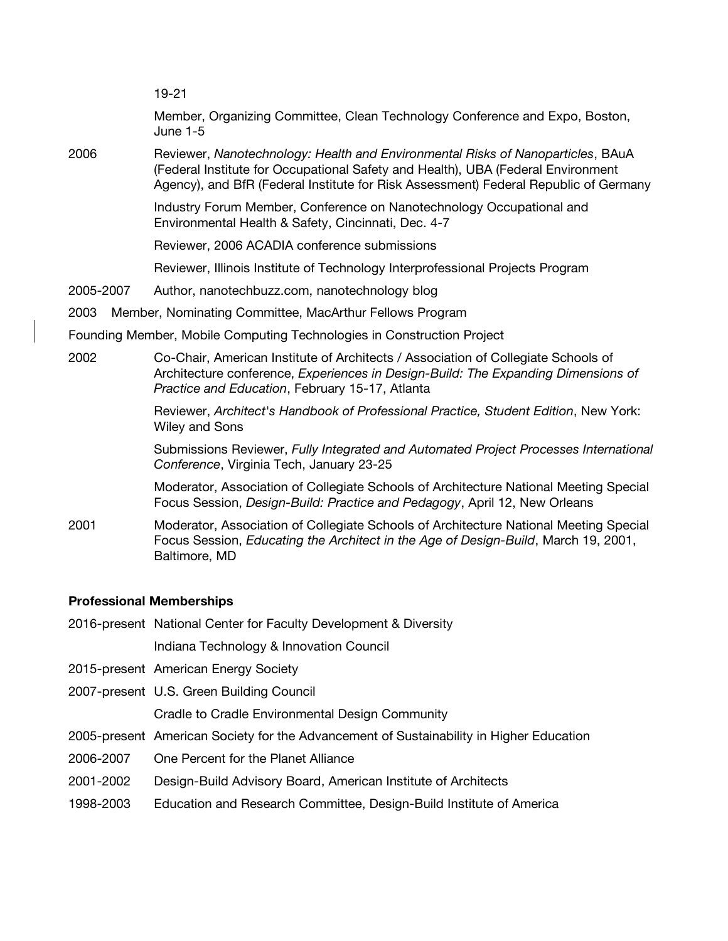19-21 Member, Organizing Committee, Clean Technology Conference and Expo, Boston, June 1-5 2006 Reviewer, *Nanotechnology: Health and Environmental Risks of Nanoparticles*, BAuA (Federal Institute for Occupational Safety and Health), UBA (Federal Environment Agency), and BfR (Federal Institute for Risk Assessment) Federal Republic of Germany Industry Forum Member, Conference on Nanotechnology Occupational and Environmental Health & Safety, Cincinnati, Dec. 4-7 Reviewer, 2006 ACADIA conference submissions Reviewer, Illinois Institute of Technology Interprofessional Projects Program 2005-2007 Author, nanotechbuzz.com, nanotechnology blog 2003 Member, Nominating Committee, MacArthur Fellows Program Founding Member, Mobile Computing Technologies in Construction Project 2002 Co-Chair, American Institute of Architects / Association of Collegiate Schools of Architecture conference, *Experiences in Design-Build: The Expanding Dimensions of Practice and Education*, February 15-17, Atlanta Reviewer, *Architect's Handbook of Professional Practice, Student Edition*, New York: Wiley and Sons Submissions Reviewer, *Fully Integrated and Automated Project Processes International Conference*, Virginia Tech, January 23-25 Moderator, Association of Collegiate Schools of Architecture National Meeting Special Focus Session, *Design-Build: Practice and Pedagogy*, April 12, New Orleans 2001 Moderator, Association of Collegiate Schools of Architecture National Meeting Special Focus Session, *Educating the Architect in the Age of Design-Build*, March 19, 2001, Baltimore, MD

#### **Professional Memberships**

2016-present National Center for Faculty Development & Diversity

Indiana Technology & Innovation Council

- 2015-present American Energy Society
- 2007-present U.S. Green Building Council

Cradle to Cradle Environmental Design Community

- 2005-present American Society for the Advancement of Sustainability in Higher Education
- 2006-2007 One Percent for the Planet Alliance
- 2001-2002 Design-Build Advisory Board, American Institute of Architects
- 1998-2003 Education and Research Committee, Design-Build Institute of America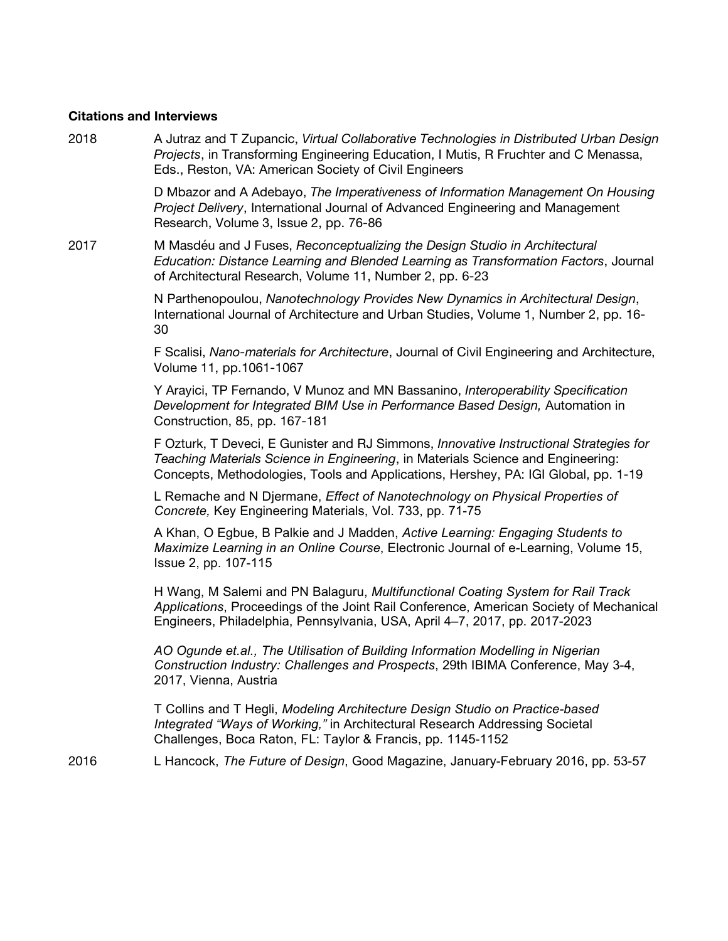#### **Citations and Interviews**

2018 A Jutraz and T Zupancic, *Virtual Collaborative Technologies in Distributed Urban Design Projects*, in Transforming Engineering Education, I Mutis, R Fruchter and C Menassa, Eds., Reston, VA: American Society of Civil Engineers

> D Mbazor and A Adebayo, *The Imperativeness of Information Management On Housing Project Delivery*, International Journal of Advanced Engineering and Management Research, Volume 3, Issue 2, pp. 76-86

2017 M Masdéu and J Fuses, *Reconceptualizing the Design Studio in Architectural Education: Distance Learning and Blended Learning as Transformation Factors*, Journal of Architectural Research, Volume 11, Number 2, pp. 6-23

> N Parthenopoulou, *Nanotechnology Provides New Dynamics in Architectural Design*, International Journal of Architecture and Urban Studies, Volume 1, Number 2, pp. 16- 30

F Scalisi, *Nano-materials for Architecture*, Journal of Civil Engineering and Architecture, Volume 11, pp.1061-1067

Y Arayici, TP Fernando, V Munoz and MN Bassanino, *Interoperability Specification Development for Integrated BIM Use in Performance Based Design,* Automation in Construction, 85, pp. 167-181

F Ozturk, T Deveci, E Gunister and RJ Simmons, *Innovative Instructional Strategies for Teaching Materials Science in Engineering*, in Materials Science and Engineering: Concepts, Methodologies, Tools and Applications, Hershey, PA: IGI Global, pp. 1-19

L Remache and N Djermane, *Effect of Nanotechnology on Physical Properties of Concrete,* Key Engineering Materials, Vol. 733, pp. 71-75

A Khan, O Egbue, B Palkie and J Madden, *Active Learning: Engaging Students to Maximize Learning in an Online Course*, Electronic Journal of e-Learning, Volume 15, Issue 2, pp. 107-115

H Wang, M Salemi and PN Balaguru, *Multifunctional Coating System for Rail Track Applications*, Proceedings of the Joint Rail Conference, American Society of Mechanical Engineers, Philadelphia, Pennsylvania, USA, April 4–7, 2017, pp. 2017-2023

*AO Ogunde et.al., The Utilisation of Building Information Modelling in Nigerian Construction Industry: Challenges and Prospects*, 29th IBIMA Conference, May 3-4, 2017, Vienna, Austria

T Collins and T Hegli, *Modeling Architecture Design Studio on Practice-based Integrated "Ways of Working,"* in Architectural Research Addressing Societal Challenges, Boca Raton, FL: Taylor & Francis, pp. 1145-1152

2016 L Hancock, *The Future of Design*, Good Magazine, January-February 2016, pp. 53-57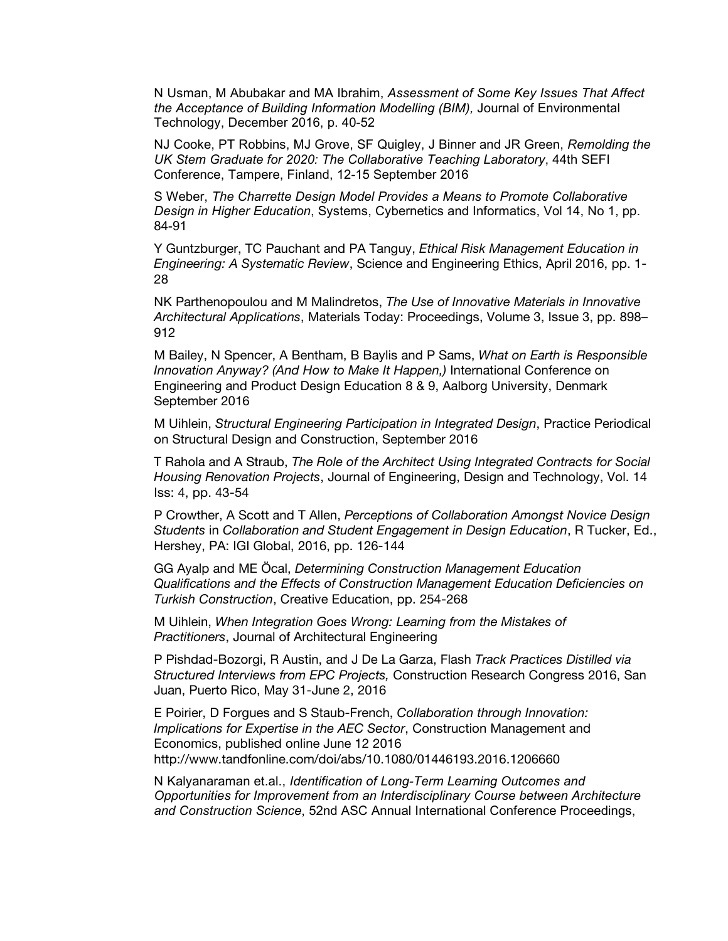N Usman, M Abubakar and MA Ibrahim, *Assessment of Some Key Issues That Affect the Acceptance of Building Information Modelling (BIM),* Journal of Environmental Technology, December 2016, p. 40-52

NJ Cooke, PT Robbins, MJ Grove, SF Quigley, J Binner and JR Green, *Remolding the UK Stem Graduate for 2020: The Collaborative Teaching Laboratory*, 44th SEFI Conference, Tampere, Finland, 12-15 September 2016

S Weber, *The Charrette Design Model Provides a Means to Promote Collaborative Design in Higher Education*, Systems, Cybernetics and Informatics, Vol 14, No 1, pp. 84-91

Y Guntzburger, TC Pauchant and PA Tanguy, *Ethical Risk Management Education in Engineering: A Systematic Review*, Science and Engineering Ethics, April 2016, pp. 1- 28

NK Parthenopoulou and M Malindretos, *The Use of Innovative Materials in Innovative Architectural Applications*, Materials Today: Proceedings, Volume 3, Issue 3, pp. 898– 912

M Bailey, N Spencer, A Bentham, B Baylis and P Sams, *What on Earth is Responsible Innovation Anyway? (And How to Make It Happen,)* International Conference on Engineering and Product Design Education 8 & 9, Aalborg University, Denmark September 2016

M Uihlein, *Structural Engineering Participation in Integrated Design*, Practice Periodical on Structural Design and Construction, September 2016

T Rahola and A Straub, *The Role of the Architect Using Integrated Contracts for Social Housing Renovation Projects*, Journal of Engineering, Design and Technology, Vol. 14 Iss: 4, pp. 43-54

P Crowther, A Scott and T Allen, *Perceptions of Collaboration Amongst Novice Design Students* in *Collaboration and Student Engagement in Design Education*, R Tucker, Ed., Hershey, PA: IGI Global, 2016, pp. 126-144

GG Ayalp and ME Öcal, *Determining Construction Management Education Qualifications and the Effects of Construction Management Education Deficiencies on Turkish Construction*, Creative Education, pp. 254-268

M Uihlein, *When Integration Goes Wrong: Learning from the Mistakes of Practitioners*, Journal of Architectural Engineering

P Pishdad-Bozorgi, R Austin, and J De La Garza, Flash *Track Practices Distilled via Structured Interviews from EPC Projects,* Construction Research Congress 2016, San Juan, Puerto Rico, May 31-June 2, 2016

E Poirier, D Forgues and S Staub-French, *Collaboration through Innovation: Implications for Expertise in the AEC Sector*, Construction Management and Economics, published online June 12 2016 http://www.tandfonline.com/doi/abs/10.1080/01446193.2016.1206660

N Kalyanaraman et.al., *Identification of Long-Term Learning Outcomes and Opportunities for Improvement from an Interdisciplinary Course between Architecture and Construction Science*, 52nd ASC Annual International Conference Proceedings,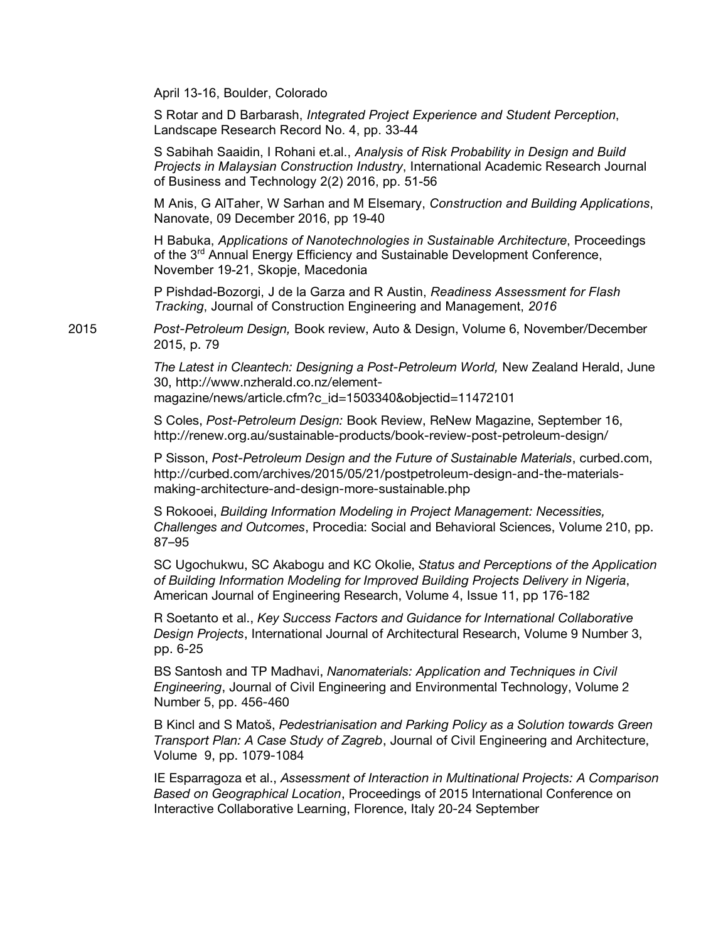April 13-16, Boulder, Colorado

S Rotar and D Barbarash, *Integrated Project Experience and Student Perception*, Landscape Research Record No. 4, pp. 33-44

S Sabihah Saaidin, I Rohani et.al., *Analysis of Risk Probability in Design and Build Projects in Malaysian Construction Industry*, International Academic Research Journal of Business and Technology 2(2) 2016, pp. 51-56

M Anis, G AlTaher, W Sarhan and M Elsemary, *Construction and Building Applications*, Nanovate, 09 December 2016, pp 19-40

H Babuka, *Applications of Nanotechnologies in Sustainable Architecture*, Proceedings of the 3<sup>rd</sup> Annual Energy Efficiency and Sustainable Development Conference, November 19-21, Skopje, Macedonia

P Pishdad-Bozorgi, J de la Garza and R Austin, *Readiness Assessment for Flash Tracking*, Journal of Construction Engineering and Management, *2016*

2015 *Post-Petroleum Design,* Book review, Auto & Design, Volume 6, November/December 2015, p. 79

> *The Latest in Cleantech: Designing a Post-Petroleum World,* New Zealand Herald, June 30, http://www.nzherald.co.nz/element-

magazine/news/article.cfm?c\_id=1503340&objectid=11472101

S Coles, *Post-Petroleum Design:* Book Review, ReNew Magazine, September 16, http://renew.org.au/sustainable-products/book-review-post-petroleum-design/

P Sisson, *Post-Petroleum Design and the Future of Sustainable Materials*, curbed.com, http://curbed.com/archives/2015/05/21/postpetroleum-design-and-the-materialsmaking-architecture-and-design-more-sustainable.php

S Rokooei, *Building Information Modeling in Project Management: Necessities, Challenges and Outcomes*, Procedia: Social and Behavioral Sciences, Volume 210, pp. 87–95

SC Ugochukwu, SC Akabogu and KC Okolie, *Status and Perceptions of the Application of Building Information Modeling for Improved Building Projects Delivery in Nigeria*, American Journal of Engineering Research, Volume 4, Issue 11, pp 176-182

R Soetanto et al., *Key Success Factors and Guidance for International Collaborative Design Projects*, International Journal of Architectural Research, Volume 9 Number 3, pp. 6-25

BS Santosh and TP Madhavi, *Nanomaterials: Application and Techniques in Civil Engineering*, Journal of Civil Engineering and Environmental Technology, Volume 2 Number 5, pp. 456-460

B Kincl and S Matoš, *Pedestrianisation and Parking Policy as a Solution towards Green Transport Plan: A Case Study of Zagreb*, Journal of Civil Engineering and Architecture, Volume 9, pp. 1079-1084

IE Esparragoza et al., *Assessment of Interaction in Multinational Projects: A Comparison Based on Geographical Location*, Proceedings of 2015 International Conference on Interactive Collaborative Learning, Florence, Italy 20-24 September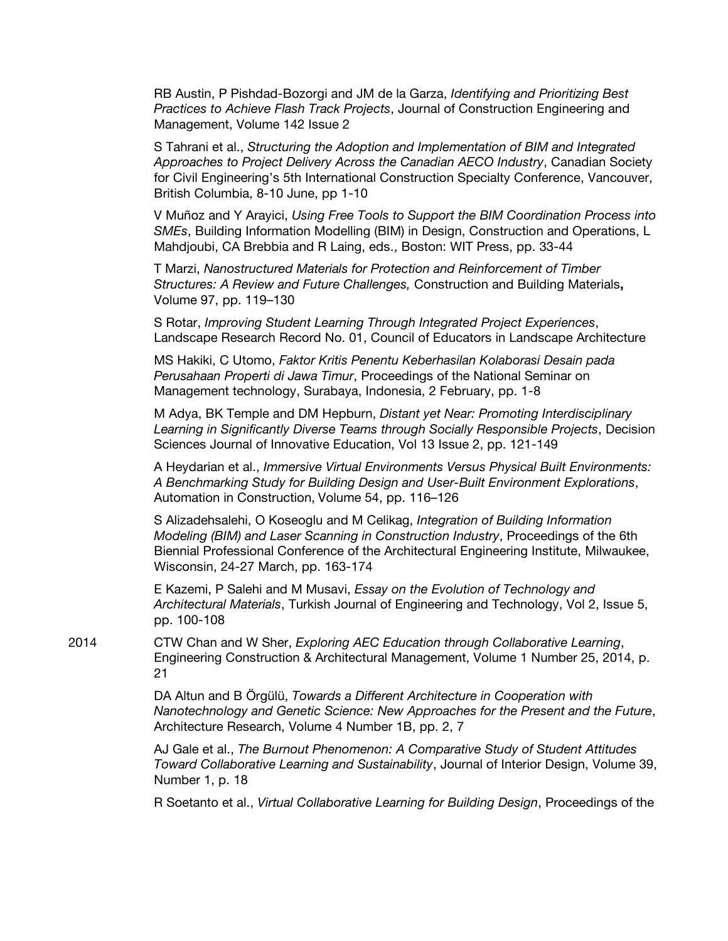RB Austin, P Pishdad-Bozorgi and JM de la Garza, *Identifying and Prioritizing Best Practices to Achieve Flash Track Projects*, Journal of Construction Engineering and Management, Volume 142 Issue 2

S Tahrani et al., *Structuring the Adoption and Implementation of BIM and Integrated Approaches to Project Delivery Across the Canadian AECO Industry*, Canadian Society for Civil Engineering's 5th International Construction Specialty Conference, Vancouver, British Columbia, 8-10 June, pp 1-10

V Muñoz and Y Arayici, *Using Free Tools to Support the BIM Coordination Process into SMEs*, Building Information Modelling (BIM) in Design, Construction and Operations, L Mahdjoubi, CA Brebbia and R Laing, eds., Boston: WIT Press, pp. 33-44

T Marzi, *Nanostructured Materials for Protection and Reinforcement of Timber Structures: A Review and Future Challenges,* Construction and Building Materials**,**  Volume 97, pp. 119–130

S Rotar, *Improving Student Learning Through Integrated Project Experiences*, Landscape Research Record No. 01, Council of Educators in Landscape Architecture

MS Hakiki, C Utomo, *Faktor Kritis Penentu Keberhasilan Kolaborasi Desain pada Perusahaan Properti di Jawa Timur*, Proceedings of the National Seminar on Management technology, Surabaya, Indonesia, 2 February, pp. 1-8

M Adya, BK Temple and DM Hepburn, *Distant yet Near: Promoting Interdisciplinary Learning in Significantly Diverse Teams through Socially Responsible Projects*, Decision Sciences Journal of Innovative Education, Vol 13 Issue 2, pp. 121-149

A Heydarian et al., *Immersive Virtual Environments Versus Physical Built Environments: A Benchmarking Study for Building Design and User-Built Environment Explorations*, Automation in Construction, Volume 54, pp. 116–126

S Alizadehsalehi, O Koseoglu and M Celikag, *Integration of Building Information Modeling (BIM) and Laser Scanning in Construction Industry*, Proceedings of the 6th Biennial Professional Conference of the Architectural Engineering Institute, Milwaukee, Wisconsin, 24-27 March, pp. 163-174

E Kazemi, P Salehi and M Musavi, *Essay on the Evolution of Technology and Architectural Materials*, Turkish Journal of Engineering and Technology, Vol 2, Issue 5, pp. 100-108

2014 CTW Chan and W Sher, *Exploring AEC Education through Collaborative Learning*, Engineering Construction & Architectural Management, Volume 1 Number 25, 2014, p. 21

> DA Altun and B Örgülü, *Towards a Different Architecture in Cooperation with Nanotechnology and Genetic Science: New Approaches for the Present and the Future*, Architecture Research, Volume 4 Number 1B, pp. 2, 7

> AJ Gale et al., *The Burnout Phenomenon: A Comparative Study of Student Attitudes Toward Collaborative Learning and Sustainability*, Journal of Interior Design, Volume 39, Number 1, p. 18

> R Soetanto et al., *Virtual Collaborative Learning for Building Design*, Proceedings of the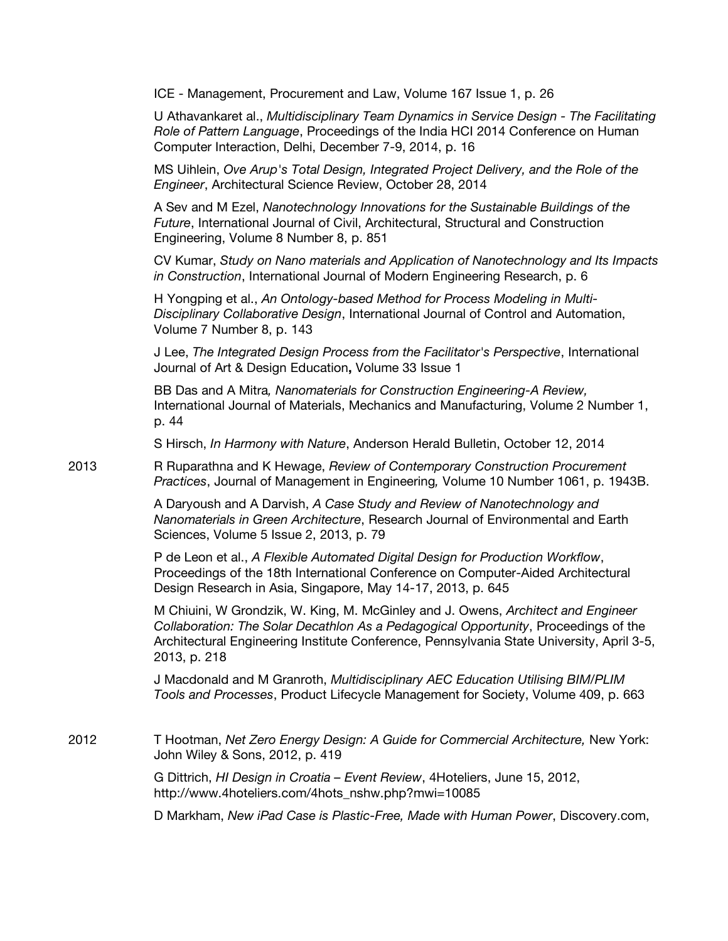ICE - Management, Procurement and Law, Volume 167 Issue 1, p. 26

U Athavankaret al., *Multidisciplinary Team Dynamics in Service Design - The Facilitating Role of Pattern Language*, Proceedings of the India HCI 2014 Conference on Human Computer Interaction, Delhi, December 7-9, 2014, p. 16

MS Uihlein, *Ove Arup's Total Design, Integrated Project Delivery, and the Role of the Engineer*, Architectural Science Review, October 28, 2014

A Sev and M Ezel, *Nanotechnology Innovations for the Sustainable Buildings of the Future*, International Journal of Civil, Architectural, Structural and Construction Engineering, Volume 8 Number 8, p. 851

CV Kumar, *Study on Nano materials and Application of Nanotechnology and Its Impacts in Construction*, International Journal of Modern Engineering Research, p. 6

H Yongping et al., *An Ontology-based Method for Process Modeling in Multi-Disciplinary Collaborative Design*, International Journal of Control and Automation, Volume 7 Number 8, p. 143

J Lee, *The Integrated Design Process from the Facilitator's Perspective*, International Journal of Art & Design Education**,** Volume 33 Issue 1

BB Das and A Mitra*, Nanomaterials for Construction Engineering-A Review,*  International Journal of Materials, Mechanics and Manufacturing, Volume 2 Number 1, p. 44

S Hirsch, *In Harmony with Nature*, Anderson Herald Bulletin, October 12, 2014

2013 R Ruparathna and K Hewage, *Review of Contemporary Construction Procurement Practices*, Journal of Management in Engineering*,* Volume 10 Number 1061, p. 1943B.

> A Daryoush and A Darvish, *A Case Study and Review of Nanotechnology and Nanomaterials in Green Architecture*, Research Journal of Environmental and Earth Sciences, Volume 5 Issue 2, 2013, p. 79

> P de Leon et al., *A Flexible Automated Digital Design for Production Workflow*, Proceedings of the 18th International Conference on Computer-Aided Architectural Design Research in Asia, Singapore, May 14-17, 2013, p. 645

M Chiuini, W Grondzik, W. King, M. McGinley and J. Owens, *Architect and Engineer Collaboration: The Solar Decathlon As a Pedagogical Opportunity*, Proceedings of the Architectural Engineering Institute Conference, Pennsylvania State University, April 3-5, 2013, p. 218

J Macdonald and M Granroth, *Multidisciplinary AEC Education Utilising BIM/PLIM Tools and Processes*, Product Lifecycle Management for Society, Volume 409, p. 663

2012 T Hootman, *Net Zero Energy Design: A Guide for Commercial Architecture,* New York: John Wiley & Sons, 2012, p. 419

> G Dittrich, *HI Design in Croatia – Event Review*, 4Hoteliers, June 15, 2012, http://www.4hoteliers.com/4hots\_nshw.php?mwi=10085

D Markham, *New iPad Case is Plastic-Free, Made with Human Power*, Discovery.com,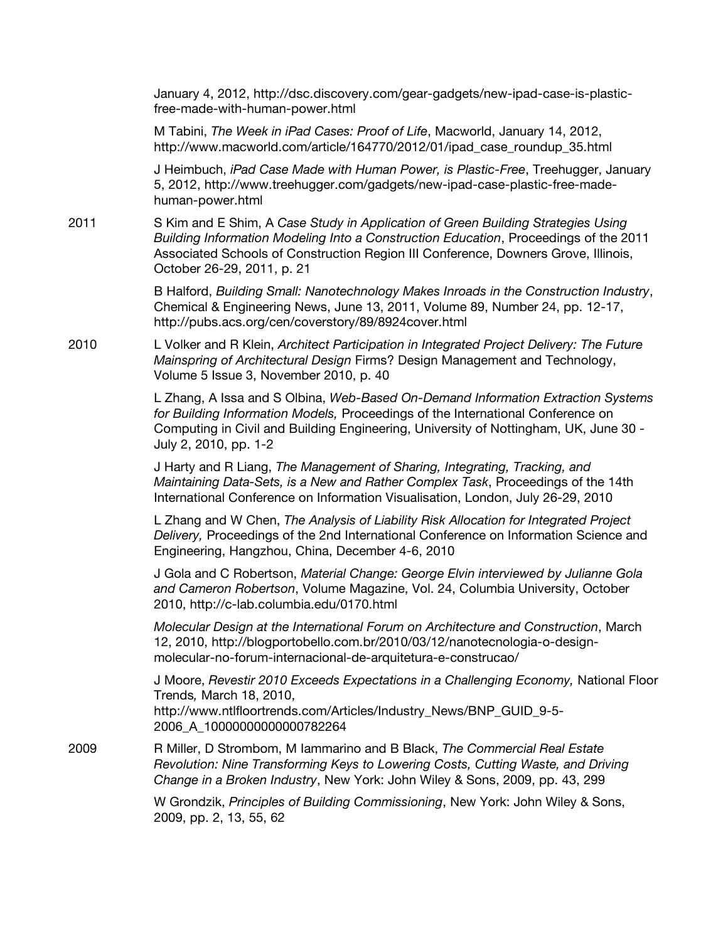January 4, 2012, http://dsc.discovery.com/gear-gadgets/new-ipad-case-is-plasticfree-made-with-human-power.html

M Tabini, *The Week in iPad Cases: Proof of Life*, Macworld, January 14, 2012, http://www.macworld.com/article/164770/2012/01/ipad\_case\_roundup\_35.html

J Heimbuch, *iPad Case Made with Human Power, is Plastic-Free*, Treehugger, January 5, 2012, http://www.treehugger.com/gadgets/new-ipad-case-plastic-free-madehuman-power.html

2011 S Kim and E Shim, A *Case Study in Application of Green Building Strategies Using Building Information Modeling Into a Construction Education*, Proceedings of the 2011 Associated Schools of Construction Region III Conference, Downers Grove, Illinois, October 26-29, 2011, p. 21

> B Halford, *Building Small: Nanotechnology Makes Inroads in the Construction Industry*, Chemical & Engineering News, June 13, 2011, Volume 89, Number 24, pp. 12-17, http://pubs.acs.org/cen/coverstory/89/8924cover.html

2010 L Volker and R Klein, *Architect Participation in Integrated Project Delivery: The Future Mainspring of Architectural Design* Firms? Design Management and Technology, Volume 5 Issue 3, November 2010, p. 40

> L Zhang, A Issa and S Olbina, *Web-Based On-Demand Information Extraction Systems for Building Information Models,* Proceedings of the International Conference on Computing in Civil and Building Engineering, University of Nottingham, UK, June 30 - July 2, 2010, pp. 1-2

J Harty and R Liang, *The Management of Sharing, Integrating, Tracking, and Maintaining Data-Sets, is a New and Rather Complex Task*, Proceedings of the 14th International Conference on Information Visualisation, London, July 26-29, 2010

L Zhang and W Chen, *The Analysis of Liability Risk Allocation for Integrated Project Delivery,* Proceedings of the 2nd International Conference on Information Science and Engineering, Hangzhou, China, December 4-6, 2010

J Gola and C Robertson, *Material Change: George Elvin interviewed by Julianne Gola and Cameron Robertson*, Volume Magazine, Vol. 24, Columbia University, October 2010, http://c-lab.columbia.edu/0170.html

*Molecular Design at the International Forum on Architecture and Construction*, March 12, 2010, http://blogportobello.com.br/2010/03/12/nanotecnologia-o-designmolecular-no-forum-internacional-de-arquitetura-e-construcao/

J Moore, *Revestir 2010 Exceeds Expectations in a Challenging Economy,* National Floor Trends*,* March 18, 2010, http://www.ntlfloortrends.com/Articles/Industry\_News/BNP\_GUID\_9-5-2006\_A\_10000000000000782264

2009 R Miller, D Strombom, M Iammarino and B Black, *The Commercial Real Estate Revolution: Nine Transforming Keys to Lowering Costs, Cutting Waste, and Driving Change in a Broken Industry*, New York: John Wiley & Sons, 2009, pp. 43, 299

> W Grondzik, *Principles of Building Commissioning*, New York: John Wiley & Sons, 2009, pp. 2, 13, 55, 62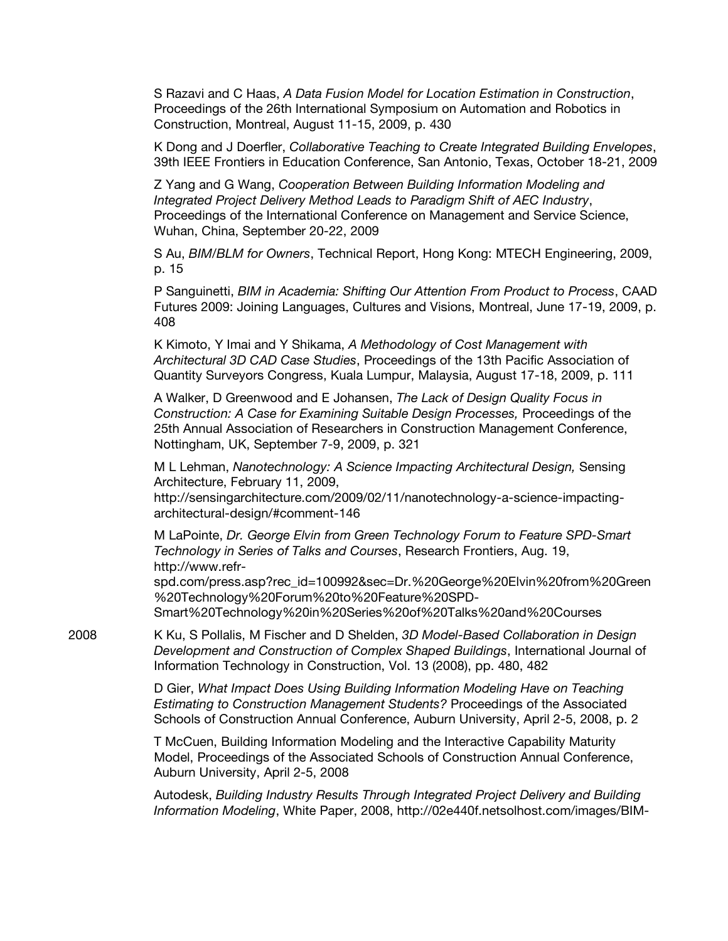S Razavi and C Haas, *A Data Fusion Model for Location Estimation in Construction*, Proceedings of the 26th International Symposium on Automation and Robotics in Construction, Montreal, August 11-15, 2009, p. 430

K Dong and J Doerfler, *Collaborative Teaching to Create Integrated Building Envelopes*, 39th IEEE Frontiers in Education Conference, San Antonio, Texas, October 18-21, 2009

Z Yang and G Wang, *Cooperation Between Building Information Modeling and Integrated Project Delivery Method Leads to Paradigm Shift of AEC Industry*, Proceedings of the International Conference on Management and Service Science, Wuhan, China, September 20-22, 2009

S Au, *BIM/BLM for Owners*, Technical Report, Hong Kong: MTECH Engineering, 2009, p. 15

P Sanguinetti, *BIM in Academia: Shifting Our Attention From Product to Process*, CAAD Futures 2009: Joining Languages, Cultures and Visions, Montreal, June 17-19, 2009, p. 408

K Kimoto, Y Imai and Y Shikama, *A Methodology of Cost Management with Architectural 3D CAD Case Studies*, Proceedings of the 13th Pacific Association of Quantity Surveyors Congress, Kuala Lumpur, Malaysia, August 17-18, 2009, p. 111

A Walker, D Greenwood and E Johansen, *The Lack of Design Quality Focus in Construction: A Case for Examining Suitable Design Processes,* Proceedings of the 25th Annual Association of Researchers in Construction Management Conference, Nottingham, UK, September 7-9, 2009, p. 321

M L Lehman, *Nanotechnology: A Science Impacting Architectural Design,* Sensing Architecture, February 11, 2009,

http://sensingarchitecture.com/2009/02/11/nanotechnology-a-science-impactingarchitectural-design/#comment-146

M LaPointe, *Dr. George Elvin from Green Technology Forum to Feature SPD-Smart Technology in Series of Talks and Courses*, Research Frontiers, Aug. 19, http://www.refr-

spd.com/press.asp?rec\_id=100992&sec=Dr.%20George%20Elvin%20from%20Green %20Technology%20Forum%20to%20Feature%20SPD-Smart%20Technology%20in%20Series%20of%20Talks%20and%20Courses

2008 K Ku, S Pollalis, M Fischer and D Shelden, *3D Model-Based Collaboration in Design Development and Construction of Complex Shaped Buildings*, International Journal of Information Technology in Construction, Vol. 13 (2008), pp. 480, 482

> D Gier, *What Impact Does Using Building Information Modeling Have on Teaching Estimating to Construction Management Students?* Proceedings of the Associated Schools of Construction Annual Conference, Auburn University, April 2-5, 2008, p. 2

T McCuen, Building Information Modeling and the Interactive Capability Maturity Model, Proceedings of the Associated Schools of Construction Annual Conference, Auburn University, April 2-5, 2008

Autodesk, *Building Industry Results Through Integrated Project Delivery and Building Information Modeling*, White Paper, 2008, http://02e440f.netsolhost.com/images/BIM-